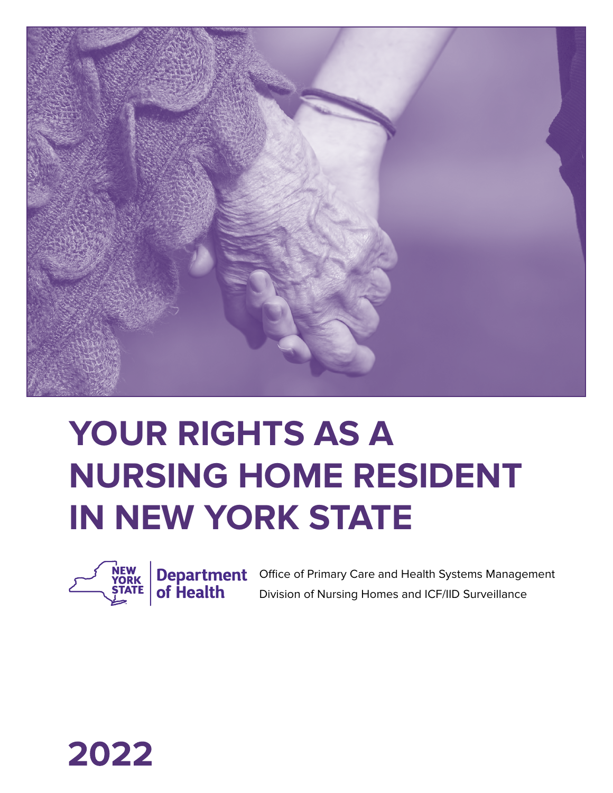

# **YOUR RIGHTS AS A NURSING HOME RESIDENT IN NEW YORK STATE**



Office of Primary Care and Health Systems Management Division of Nursing Homes and ICF/IID Surveillance

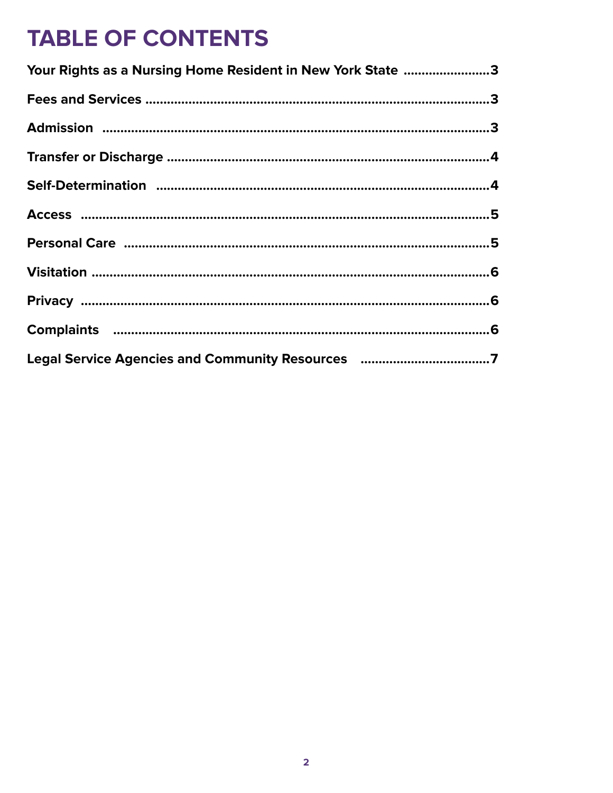### **TABLE OF CONTENTS**

| Your Rights as a Nursing Home Resident in New York State 3 |  |
|------------------------------------------------------------|--|
|                                                            |  |
|                                                            |  |
|                                                            |  |
|                                                            |  |
|                                                            |  |
|                                                            |  |
|                                                            |  |
|                                                            |  |
|                                                            |  |
| Legal Service Agencies and Community Resources 7           |  |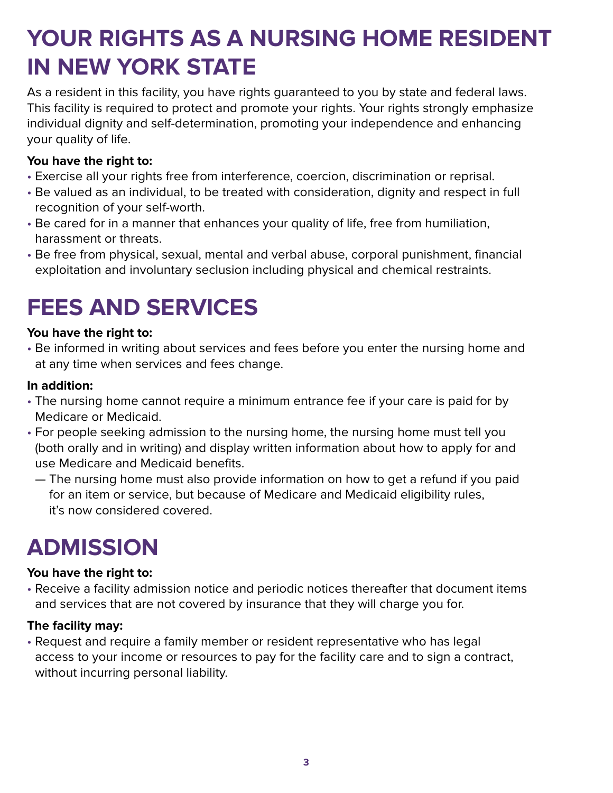### **YOUR RIGHTS AS A NURSING HOME RESIDENT IN NEW YORK STATE**

As a resident in this facility, you have rights guaranteed to you by state and federal laws. This facility is required to protect and promote your rights. Your rights strongly emphasize individual dignity and self-determination, promoting your independence and enhancing your quality of life.

### **You have the right to:**

- Exercise all your rights free from interference, coercion, discrimination or reprisal.
- Be valued as an individual, to be treated with consideration, dignity and respect in full recognition of your self-worth.
- Be cared for in a manner that enhances your quality of life, free from humiliation, harassment or threats.
- Be free from physical, sexual, mental and verbal abuse, corporal punishment, financial exploitation and involuntary seclusion including physical and chemical restraints.

# **FEES AND SERVICES**

### **You have the right to:**

• Be informed in writing about services and fees before you enter the nursing home and at any time when services and fees change.

#### **In addition:**

- The nursing home cannot require a minimum entrance fee if your care is paid for by Medicare or Medicaid.
- For people seeking admission to the nursing home, the nursing home must tell you (both orally and in writing) and display written information about how to apply for and use Medicare and Medicaid benefits.
	- The nursing home must also provide information on how to get a refund if you paid for an item or service, but because of Medicare and Medicaid eligibility rules, it's now considered covered.

### **ADMISSION**

### **You have the right to:**

• Receive a facility admission notice and periodic notices thereafter that document items and services that are not covered by insurance that they will charge you for.

### **The facility may:**

• Request and require a family member or resident representative who has legal access to your income or resources to pay for the facility care and to sign a contract, without incurring personal liability.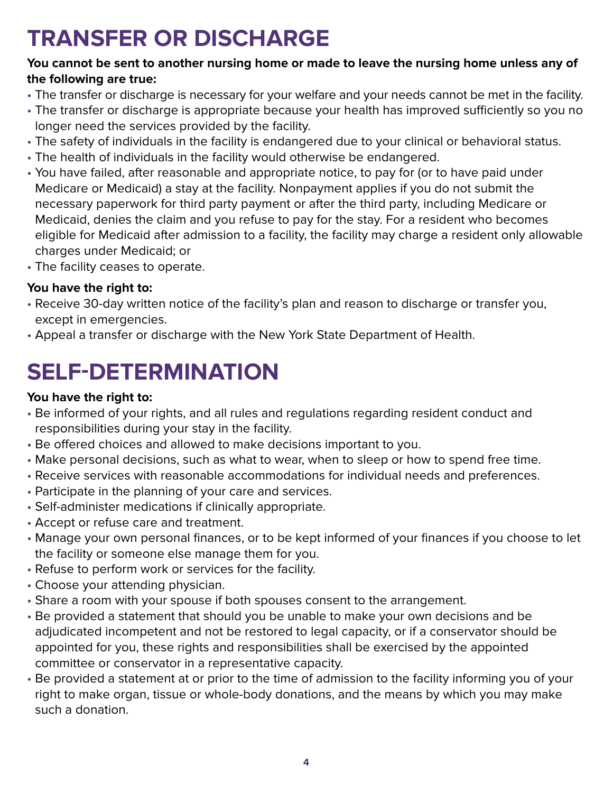### **TRANSFER OR DISCHARGE**

#### **You cannot be sent to another nursing home or made to leave the nursing home unless any of the following are true:**

- The transfer or discharge is necessary for your welfare and your needs cannot be met in the facility.
- The transfer or discharge is appropriate because your health has improved sufficiently so you no longer need the services provided by the facility.
- The safety of individuals in the facility is endangered due to your clinical or behavioral status.
- The health of individuals in the facility would otherwise be endangered.
- You have failed, after reasonable and appropriate notice, to pay for (or to have paid under Medicare or Medicaid) a stay at the facility. Nonpayment applies if you do not submit the necessary paperwork for third party payment or after the third party, including Medicare or Medicaid, denies the claim and you refuse to pay for the stay. For a resident who becomes eligible for Medicaid after admission to a facility, the facility may charge a resident only allowable charges under Medicaid; or
- The facility ceases to operate.

### **You have the right to:**

- Receive 30-day written notice of the facility's plan and reason to discharge or transfer you, except in emergencies.
- Appeal a transfer or discharge with the New York State Department of Health.

# **SELF-DETERMINATION**

### **You have the right to:**

- Be informed of your rights, and all rules and regulations regarding resident conduct and responsibilities during your stay in the facility.
- Be offered choices and allowed to make decisions important to you.
- Make personal decisions, such as what to wear, when to sleep or how to spend free time.
- Receive services with reasonable accommodations for individual needs and preferences.
- Participate in the planning of your care and services.
- Self-administer medications if clinically appropriate.
- Accept or refuse care and treatment.
- Manage your own personal finances, or to be kept informed of your finances if you choose to let the facility or someone else manage them for you.
- Refuse to perform work or services for the facility.
- Choose your attending physician.
- Share a room with your spouse if both spouses consent to the arrangement.
- Be provided a statement that should you be unable to make your own decisions and be adjudicated incompetent and not be restored to legal capacity, or if a conservator should be appointed for you, these rights and responsibilities shall be exercised by the appointed committee or conservator in a representative capacity.
- Be provided a statement at or prior to the time of admission to the facility informing you of your right to make organ, tissue or whole-body donations, and the means by which you may make such a donation.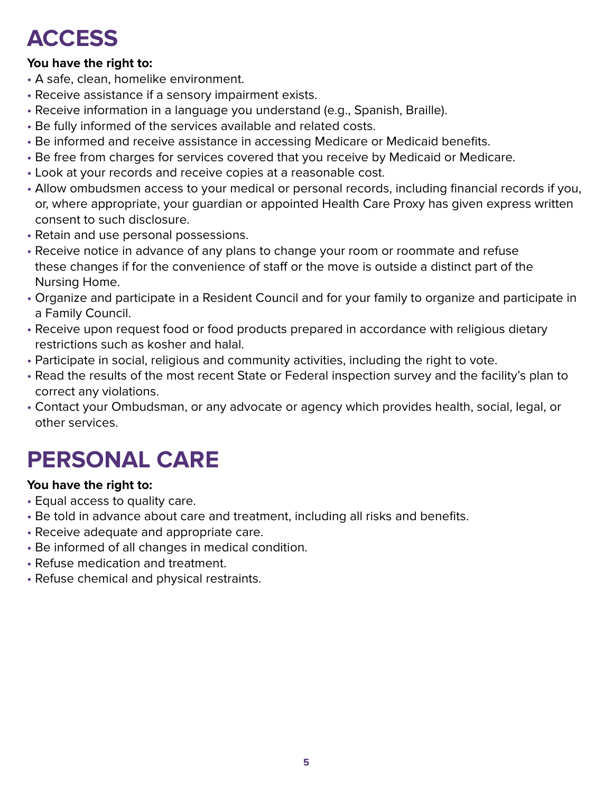### **ACCESS**

#### **You have the right to:**

- A safe, clean, homelike environment.
- Receive assistance if a sensory impairment exists.
- Receive information in a language you understand (e.g., Spanish, Braille).
- Be fully informed of the services available and related costs.
- Be informed and receive assistance in accessing Medicare or Medicaid benefits.
- Be free from charges for services covered that you receive by Medicaid or Medicare.
- Look at your records and receive copies at a reasonable cost.
- Allow ombudsmen access to your medical or personal records, including financial records if you, or, where appropriate, your guardian or appointed Health Care Proxy has given express written consent to such disclosure.
- Retain and use personal possessions.
- Receive notice in advance of any plans to change your room or roommate and refuse these changes if for the convenience of staff or the move is outside a distinct part of the Nursing Home.
- Organize and participate in a Resident Council and for your family to organize and participate in a Family Council.
- Receive upon request food or food products prepared in accordance with religious dietary restrictions such as kosher and halal.
- Participate in social, religious and community activities, including the right to vote.
- Read the results of the most recent State or Federal inspection survey and the facility's plan to correct any violations.
- Contact your Ombudsman, or any advocate or agency which provides health, social, legal, or other services.

### **PERSONAL CARE**

#### **You have the right to:**

- Equal access to quality care.
- Be told in advance about care and treatment, including all risks and benefits.
- Receive adequate and appropriate care.
- Be informed of all changes in medical condition.
- Refuse medication and treatment.
- Refuse chemical and physical restraints.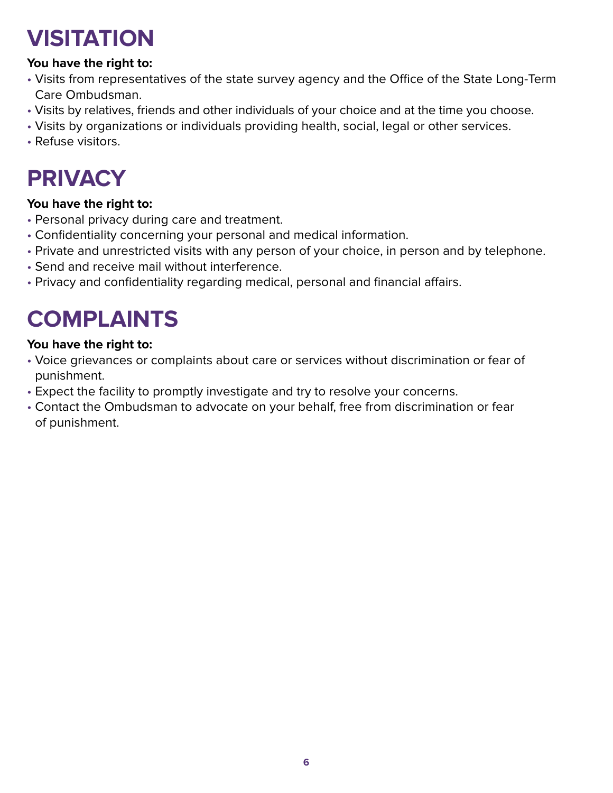# **VISITATION**

### **You have the right to:**

- Visits from representatives of the state survey agency and the Office of the State Long-Term Care Ombudsman.
- Visits by relatives, friends and other individuals of your choice and at the time you choose.
- Visits by organizations or individuals providing health, social, legal or other services.
- Refuse visitors.

# **PRIVACY**

### **You have the right to:**

- Personal privacy during care and treatment.
- Confidentiality concerning your personal and medical information.
- Private and unrestricted visits with any person of your choice, in person and by telephone.
- Send and receive mail without interference.
- Privacy and confidentiality regarding medical, personal and financial affairs.

### **COMPLAINTS**

#### **You have the right to:**

- Voice grievances or complaints about care or services without discrimination or fear of punishment.
- Expect the facility to promptly investigate and try to resolve your concerns.
- Contact the Ombudsman to advocate on your behalf, free from discrimination or fear of punishment.